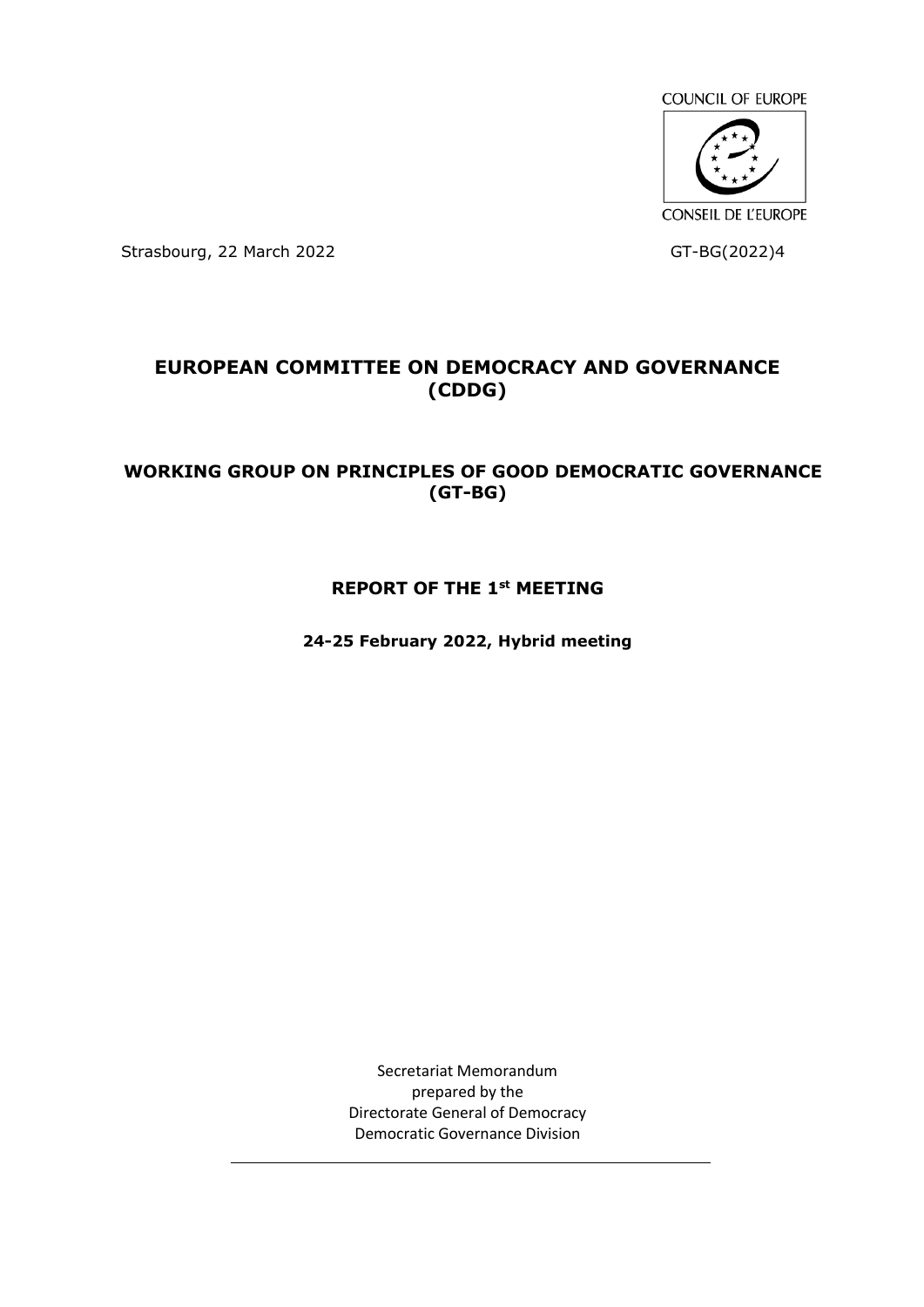**COUNCIL OF EUROPE** 



Strasbourg, 22 March 2022 GT-BG(2022)4

# **EUROPEAN COMMITTEE ON DEMOCRACY AND GOVERNANCE (CDDG)**

# **WORKING GROUP ON PRINCIPLES OF GOOD DEMOCRATIC GOVERNANCE (GT-BG)**

## **REPORT OF THE 1st MEETING**

**24-25 February 2022, Hybrid meeting**

Secretariat Memorandum prepared by the Directorate General of Democracy Democratic Governance Division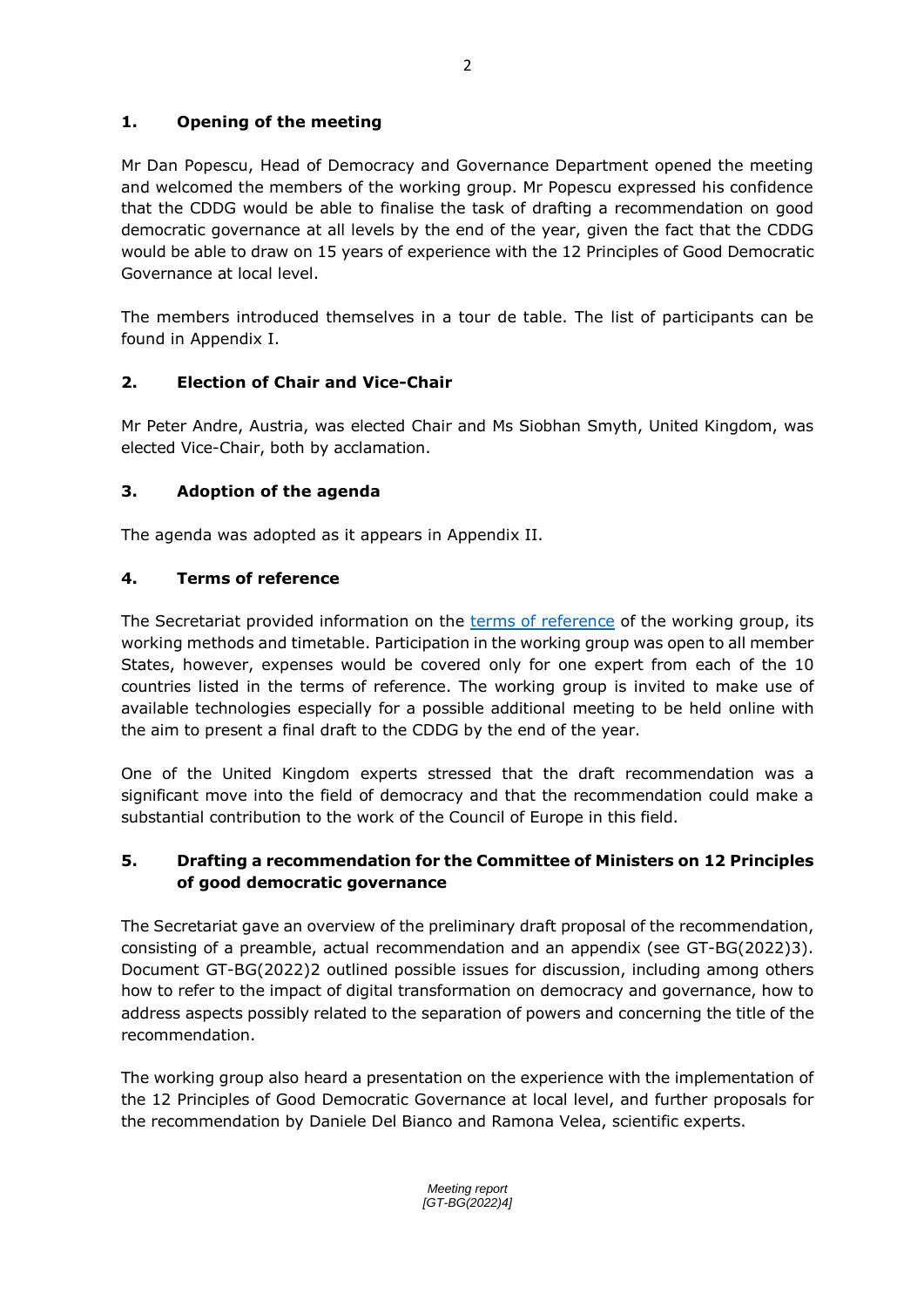# **1. Opening of the meeting**

Mr Dan Popescu, Head of Democracy and Governance Department opened the meeting and welcomed the members of the working group. Mr Popescu expressed his confidence that the CDDG would be able to finalise the task of drafting a recommendation on good democratic governance at all levels by the end of the year, given the fact that the CDDG would be able to draw on 15 years of experience with the 12 Principles of Good Democratic Governance at local level.

The members introduced themselves in a tour de table. The list of participants can be found in Appendix I.

# **2. Election of Chair and Vice-Chair**

Mr Peter Andre, Austria, was elected Chair and Ms Siobhan Smyth, United Kingdom, was elected Vice-Chair, both by acclamation.

## **3. Adoption of the agenda**

The agenda was adopted as it appears in Appendix II.

# **4. Terms of reference**

The Secretariat provided information on the [terms of reference](https://rm.coe.int/gt-bg-terms-of-reference-2777-4142-0037-v-1/1680a56b52) of the working group, its working methods and timetable. Participation in the working group was open to all member States, however, expenses would be covered only for one expert from each of the 10 countries listed in the terms of reference. The working group is invited to make use of available technologies especially for a possible additional meeting to be held online with the aim to present a final draft to the CDDG by the end of the year.

One of the United Kingdom experts stressed that the draft recommendation was a significant move into the field of democracy and that the recommendation could make a substantial contribution to the work of the Council of Europe in this field.

# **5. Drafting a recommendation for the Committee of Ministers on 12 Principles of good democratic governance**

The Secretariat gave an overview of the preliminary draft proposal of the recommendation, consisting of a preamble, actual recommendation and an appendix (see GT-BG(2022)3). Document GT-BG(2022)2 outlined possible issues for discussion, including among others how to refer to the impact of digital transformation on democracy and governance, how to address aspects possibly related to the separation of powers and concerning the title of the recommendation.

The working group also heard a presentation on the experience with the implementation of the 12 Principles of Good Democratic Governance at local level, and further proposals for the recommendation by Daniele Del Bianco and Ramona Velea, scientific experts.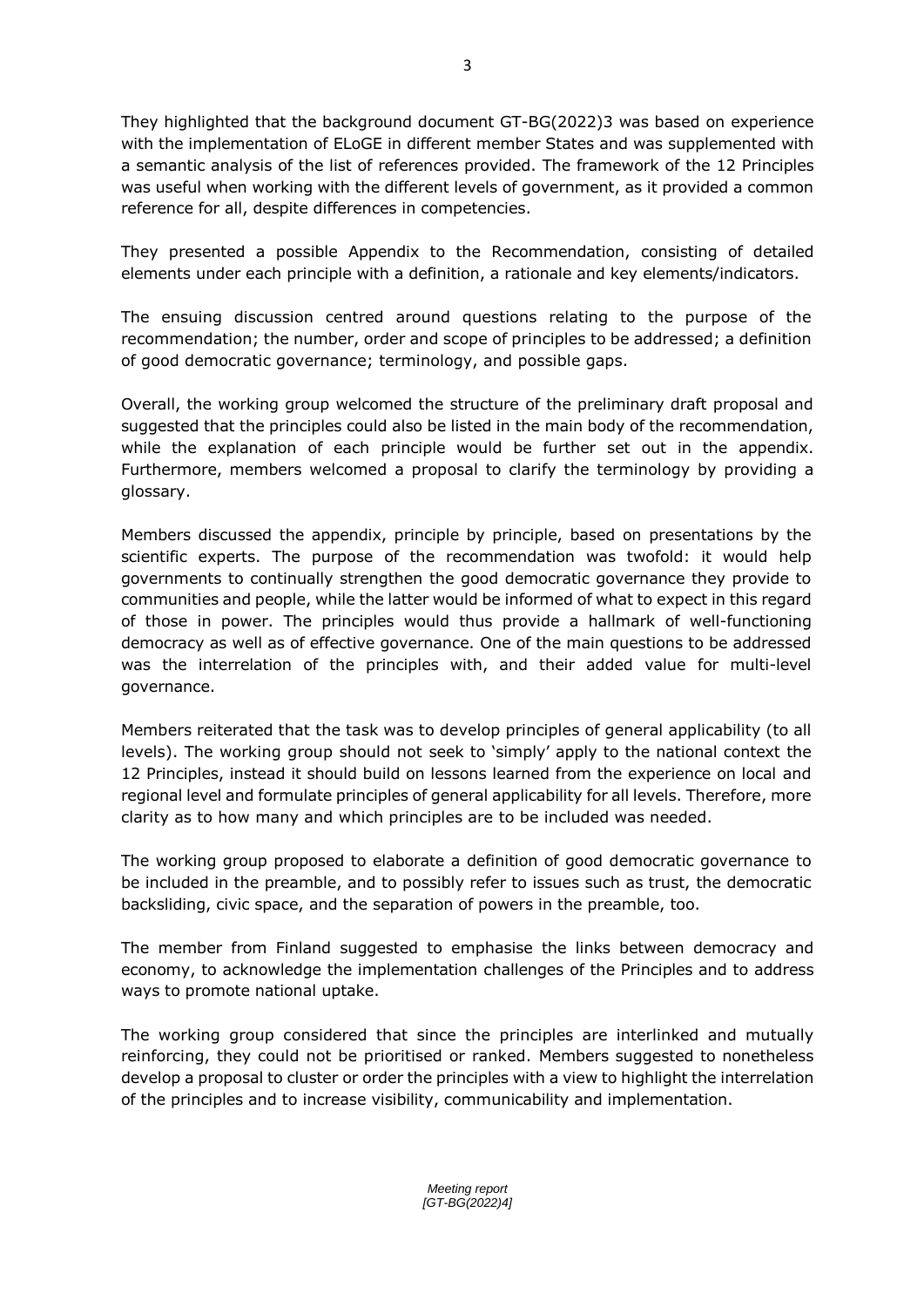They highlighted that the background document GT-BG(2022)3 was based on experience with the implementation of ELoGE in different member States and was supplemented with a semantic analysis of the list of references provided. The framework of the 12 Principles was useful when working with the different levels of government, as it provided a common reference for all, despite differences in competencies.

They presented a possible Appendix to the Recommendation, consisting of detailed elements under each principle with a definition, a rationale and key elements/indicators.

The ensuing discussion centred around questions relating to the purpose of the recommendation; the number, order and scope of principles to be addressed; a definition of good democratic governance; terminology, and possible gaps.

Overall, the working group welcomed the structure of the preliminary draft proposal and suggested that the principles could also be listed in the main body of the recommendation, while the explanation of each principle would be further set out in the appendix. Furthermore, members welcomed a proposal to clarify the terminology by providing a glossary.

Members discussed the appendix, principle by principle, based on presentations by the scientific experts. The purpose of the recommendation was twofold: it would help governments to continually strengthen the good democratic governance they provide to communities and people, while the latter would be informed of what to expect in this regard of those in power. The principles would thus provide a hallmark of well-functioning democracy as well as of effective governance. One of the main questions to be addressed was the interrelation of the principles with, and their added value for multi-level governance.

Members reiterated that the task was to develop principles of general applicability (to all levels). The working group should not seek to 'simply' apply to the national context the 12 Principles, instead it should build on lessons learned from the experience on local and regional level and formulate principles of general applicability for all levels. Therefore, more clarity as to how many and which principles are to be included was needed.

The working group proposed to elaborate a definition of good democratic governance to be included in the preamble, and to possibly refer to issues such as trust, the democratic backsliding, civic space, and the separation of powers in the preamble, too.

The member from Finland suggested to emphasise the links between democracy and economy, to acknowledge the implementation challenges of the Principles and to address ways to promote national uptake.

The working group considered that since the principles are interlinked and mutually reinforcing, they could not be prioritised or ranked. Members suggested to nonetheless develop a proposal to cluster or order the principles with a view to highlight the interrelation of the principles and to increase visibility, communicability and implementation.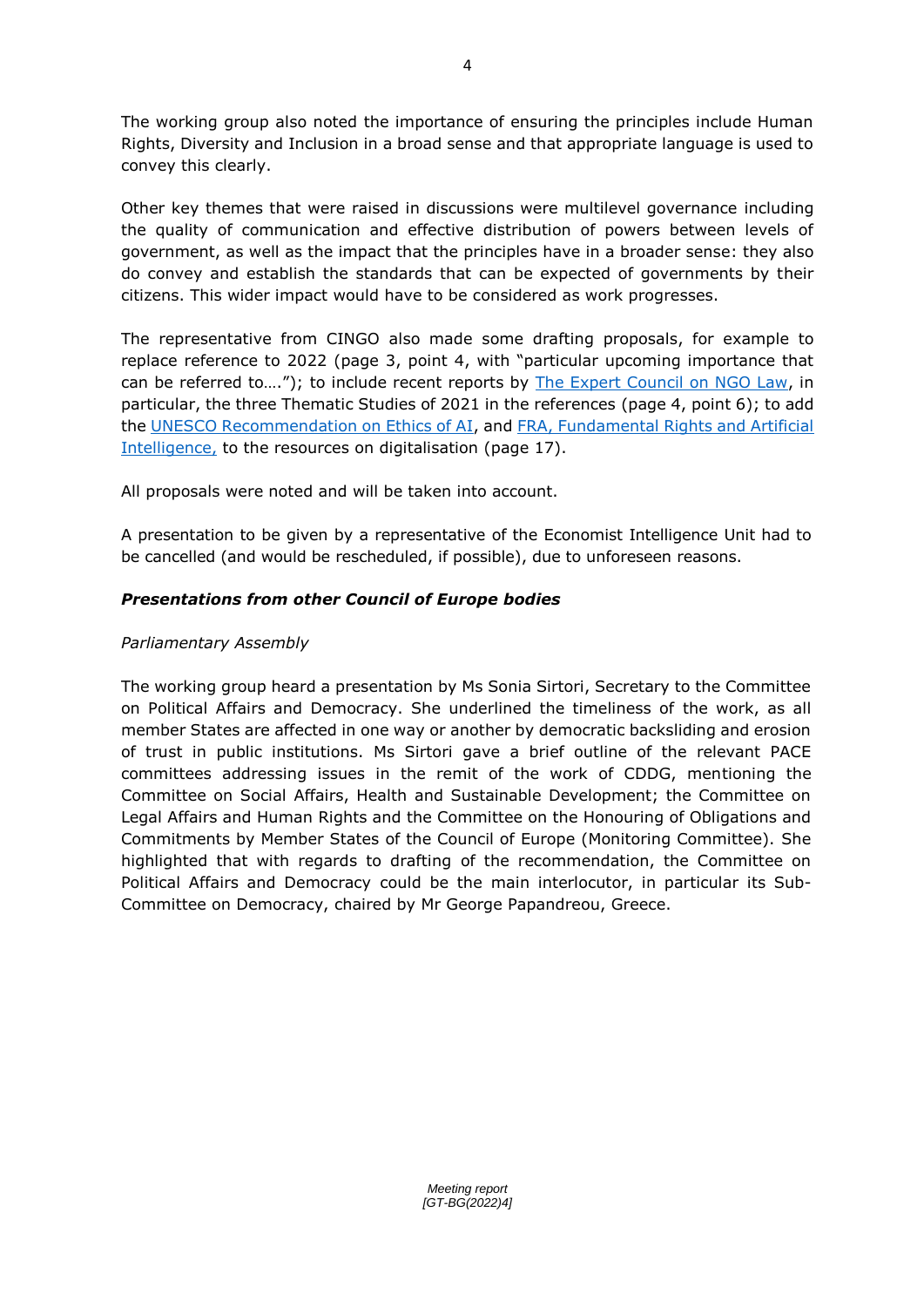The working group also noted the importance of ensuring the principles include Human Rights, Diversity and Inclusion in a broad sense and that appropriate language is used to convey this clearly.

Other key themes that were raised in discussions were multilevel governance including the quality of communication and effective distribution of powers between levels of government, as well as the impact that the principles have in a broader sense: they also do convey and establish the standards that can be expected of governments by their citizens. This wider impact would have to be considered as work progresses.

The representative from CINGO also made some drafting proposals, for example to replace reference to 2022 (page 3, point 4, with "particular upcoming importance that can be referred to...."); to include recent reports by [The Expert Council on NGO Law,](https://www.coe.int/en/web/ingo/expert-council) in particular, the three Thematic Studies of 2021 in the references (page 4, point 6); to add the [UNESCO Recommendation on Ethics of AI,](https://en.unesco.org/artificial-intelligence/ethics) and [FRA, Fundamental Rights and Artificial](https://fra.europa.eu/sites/default/files/fra_uploads/fra-2020-artificial-intelligence_en.pdf)  [Intelligence,](https://fra.europa.eu/sites/default/files/fra_uploads/fra-2020-artificial-intelligence_en.pdf) to the resources on digitalisation (page 17).

All proposals were noted and will be taken into account.

A presentation to be given by a representative of the Economist Intelligence Unit had to be cancelled (and would be rescheduled, if possible), due to unforeseen reasons.

# *Presentations from other Council of Europe bodies*

# *Parliamentary Assembly*

The working group heard a presentation by Ms Sonia Sirtori, Secretary to the Committee on Political Affairs and Democracy. She underlined the timeliness of the work, as all member States are affected in one way or another by democratic backsliding and erosion of trust in public institutions. Ms Sirtori gave a brief outline of the relevant PACE committees addressing issues in the remit of the work of CDDG, mentioning the Committee on Social Affairs, Health and Sustainable Development; the Committee on Legal Affairs and Human Rights and the Committee on the Honouring of Obligations and Commitments by Member States of the Council of Europe (Monitoring Committee). She highlighted that with regards to drafting of the recommendation, the Committee on Political Affairs and Democracy could be the main interlocutor, in particular its Sub-Committee on Democracy, chaired by Mr George Papandreou, Greece.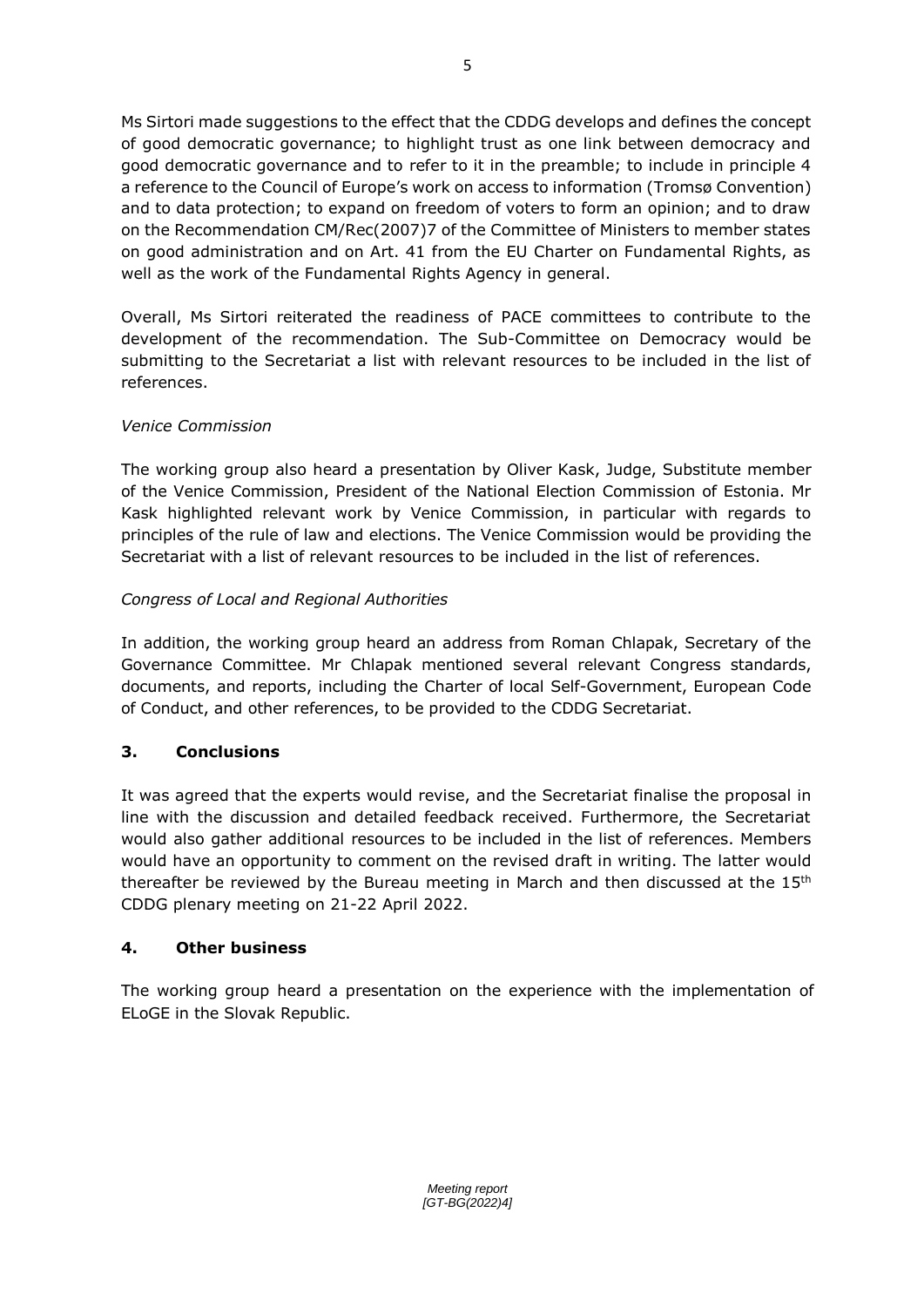Ms Sirtori made suggestions to the effect that the CDDG develops and defines the concept of good democratic governance; to highlight trust as one link between democracy and good democratic governance and to refer to it in the preamble; to include in principle 4 a reference to the Council of Europe's work on access to information (Tromsø Convention) and to data protection; to expand on freedom of voters to form an opinion; and to draw on the Recommendation CM/Rec(2007)7 of the Committee of Ministers to member states on good administration and on Art. 41 from the EU Charter on Fundamental Rights, as well as the work of the Fundamental Rights Agency in general.

Overall, Ms Sirtori reiterated the readiness of PACE committees to contribute to the development of the recommendation. The Sub-Committee on Democracy would be submitting to the Secretariat a list with relevant resources to be included in the list of references.

# *Venice Commission*

The working group also heard a presentation by Oliver Kask, Judge, Substitute member of the Venice Commission, President of the National Election Commission of Estonia. Mr Kask highlighted relevant work by Venice Commission, in particular with regards to principles of the rule of law and elections. The Venice Commission would be providing the Secretariat with a list of relevant resources to be included in the list of references.

## *Congress of Local and Regional Authorities*

In addition, the working group heard an address from Roman Chlapak, Secretary of the Governance Committee. Mr Chlapak mentioned several relevant Congress standards, documents, and reports, including the Charter of local Self-Government, European Code of Conduct, and other references, to be provided to the CDDG Secretariat.

## **3. Conclusions**

It was agreed that the experts would revise, and the Secretariat finalise the proposal in line with the discussion and detailed feedback received. Furthermore, the Secretariat would also gather additional resources to be included in the list of references. Members would have an opportunity to comment on the revised draft in writing. The latter would thereafter be reviewed by the Bureau meeting in March and then discussed at the  $15<sup>th</sup>$ CDDG plenary meeting on 21-22 April 2022.

## **4. Other business**

The working group heard a presentation on the experience with the implementation of ELoGE in the Slovak Republic.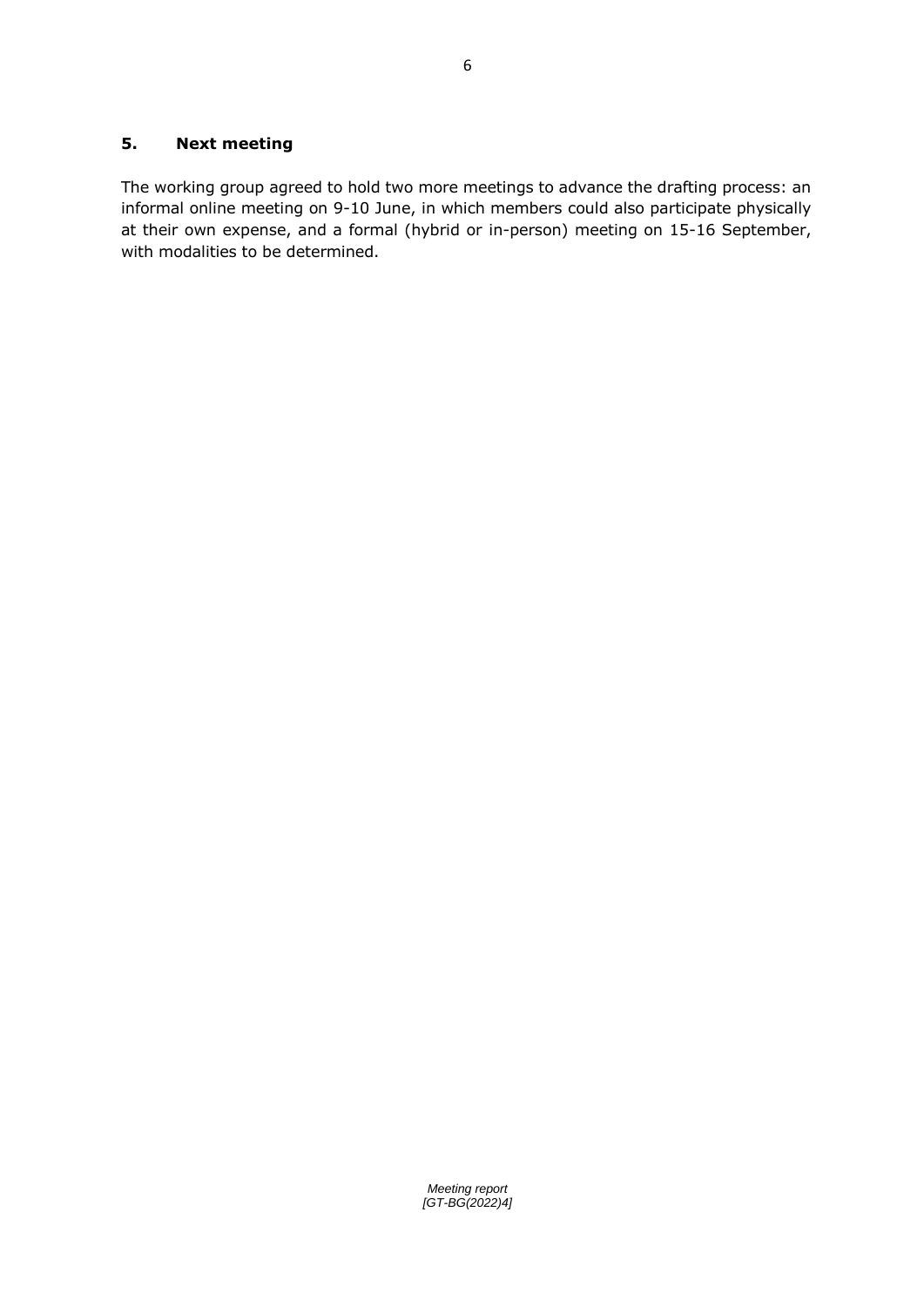## **5. Next meeting**

The working group agreed to hold two more meetings to advance the drafting process: an informal online meeting on 9-10 June, in which members could also participate physically at their own expense, and a formal (hybrid or in-person) meeting on 15-16 September, with modalities to be determined.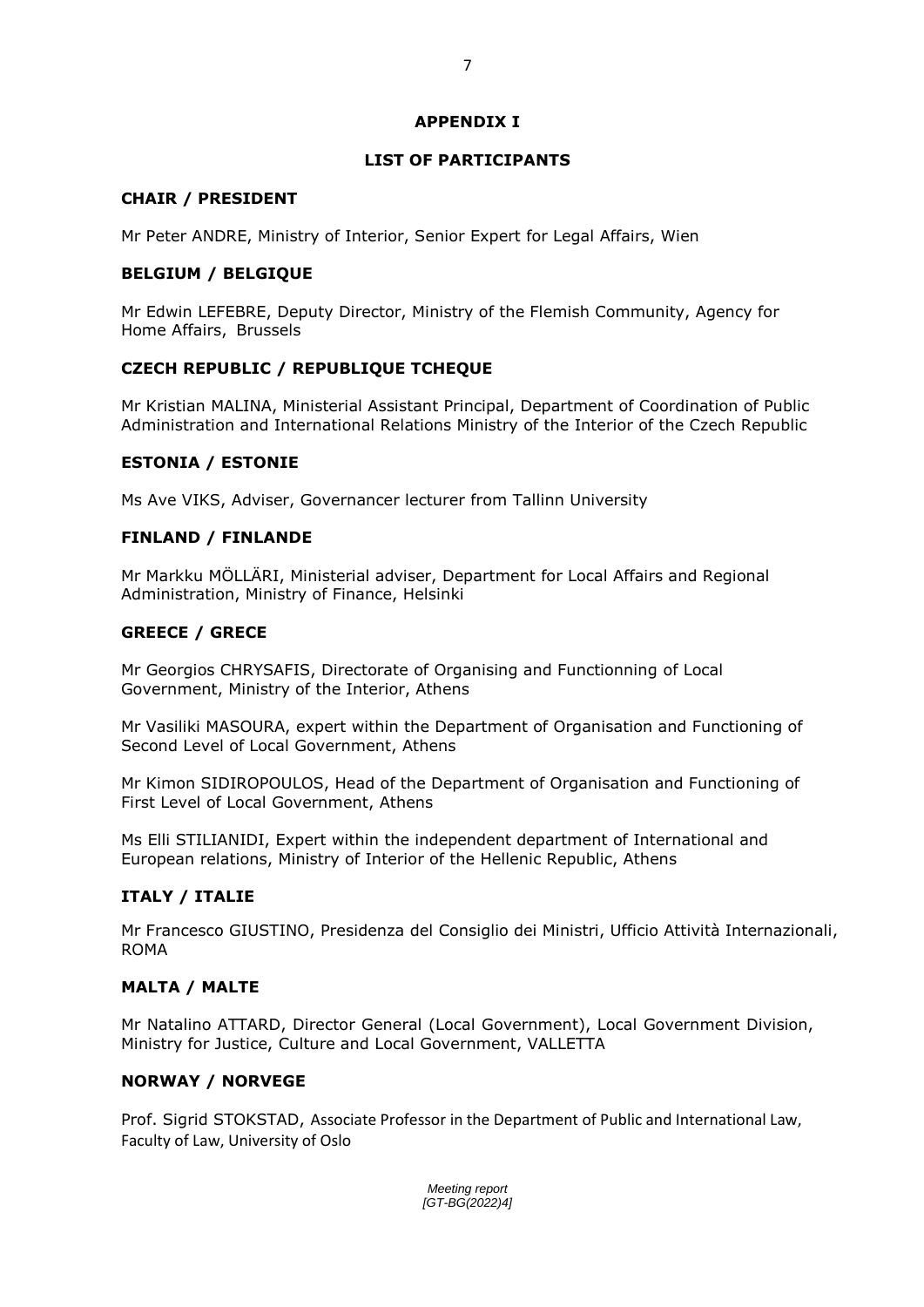#### **APPENDIX I**

7

#### **LIST OF PARTICIPANTS**

#### **CHAIR / PRESIDENT**

Mr Peter ANDRE, Ministry of Interior, Senior Expert for Legal Affairs, Wien

#### **BELGIUM / BELGIQUE**

Mr Edwin LEFEBRE, Deputy Director, Ministry of the Flemish Community, Agency for Home Affairs, Brussels

#### **CZECH REPUBLIC / REPUBLIQUE TCHEQUE**

Mr Kristian MALINA, Ministerial Assistant Principal, Department of Coordination of Public Administration and International Relations Ministry of the Interior of the Czech Republic

#### **ESTONIA / ESTONIE**

Ms Ave VIKS, Adviser, Governancer lecturer from Tallinn University

#### **FINLAND / FINLANDE**

Mr Markku MÖLLÄRI, Ministerial adviser, Department for Local Affairs and Regional Administration, Ministry of Finance, Helsinki

#### **GREECE / GRECE**

Mr Georgios CHRYSAFIS, Directorate of Organising and Functionning of Local Government, Ministry of the Interior, Athens

Mr Vasiliki MASOURA, expert within the Department of Organisation and Functioning of Second Level of Local Government, Athens

Mr Kimon SIDIROPOULOS, Head of the Department of Organisation and Functioning of First Level of Local Government, Athens

Ms Elli STILIANIDI, Expert within the independent department of International and European relations, Ministry of Interior of the Hellenic Republic, Athens

## **ITALY / ITALIE**

Mr Francesco GIUSTINO, Presidenza del Consiglio dei Ministri, Ufficio Attività Internazionali, ROMA

#### **MALTA / MALTE**

Mr Natalino ATTARD, Director General (Local Government), Local Government Division, Ministry for Justice, Culture and Local Government, VALLETTA

#### **NORWAY / NORVEGE**

Prof. Sigrid STOKSTAD, Associate Professor in the Department of Public and International Law, Faculty of Law, University of Oslo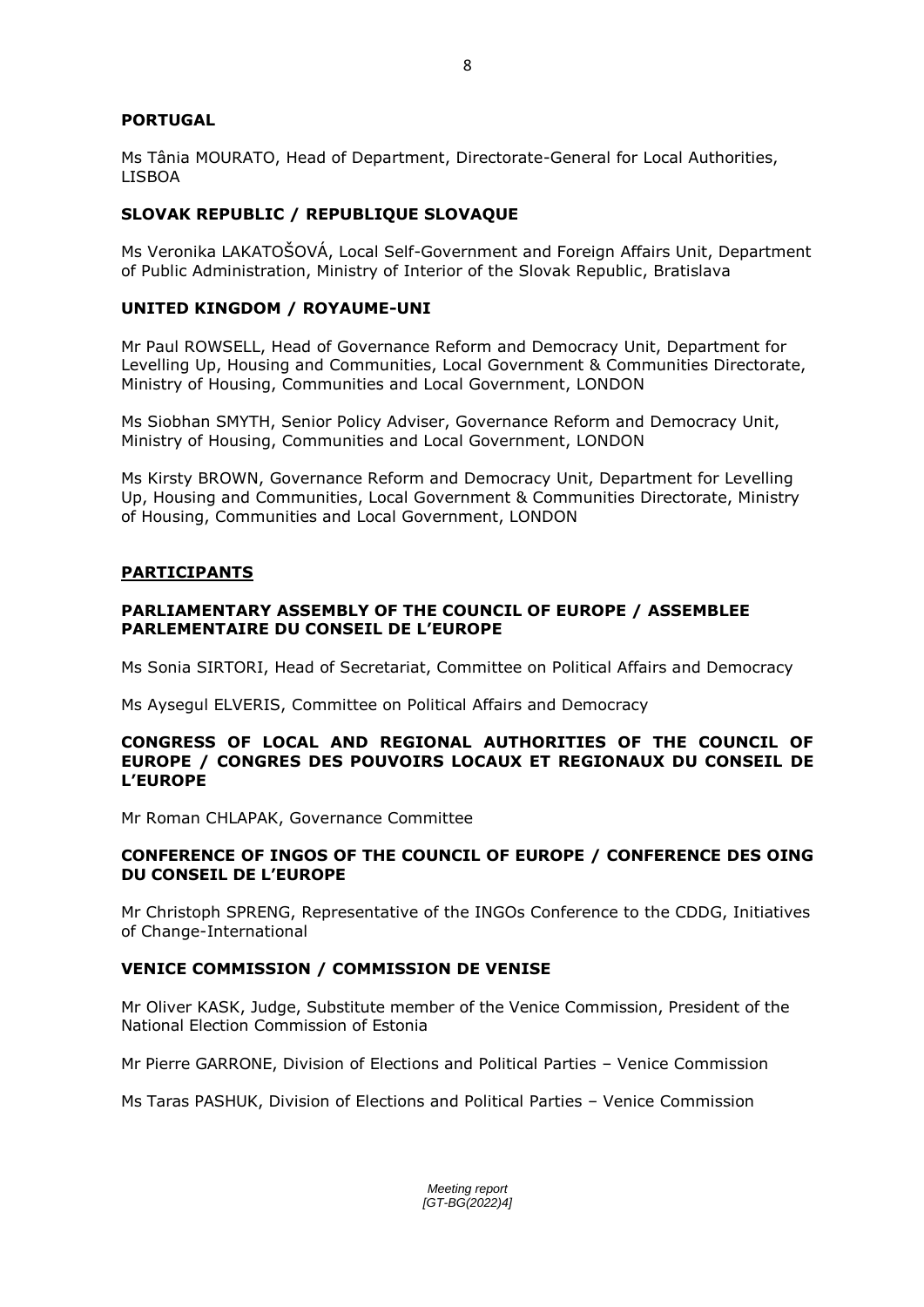## **PORTUGAL**

Ms Tânia MOURATO, Head of Department, Directorate-General for Local Authorities, LISBOA

## **SLOVAK REPUBLIC / REPUBLIQUE SLOVAQUE**

Ms Veronika LAKATOŠOVÁ, Local Self-Government and Foreign Affairs Unit, Department of Public Administration, Ministry of Interior of the Slovak Republic, Bratislava

## **UNITED KINGDOM / ROYAUME-UNI**

Mr Paul ROWSELL, Head of Governance Reform and Democracy Unit, Department for Levelling Up, Housing and Communities, Local Government & Communities Directorate, Ministry of Housing, Communities and Local Government, LONDON

Ms Siobhan SMYTH, Senior Policy Adviser, Governance Reform and Democracy Unit, Ministry of Housing, Communities and Local Government, LONDON

Ms Kirsty BROWN, Governance Reform and Democracy Unit, Department for Levelling Up, Housing and Communities, Local Government & Communities Directorate, Ministry of Housing, Communities and Local Government, LONDON

## **PARTICIPANTS**

#### **PARLIAMENTARY ASSEMBLY OF THE COUNCIL OF EUROPE / ASSEMBLEE PARLEMENTAIRE DU CONSEIL DE L'EUROPE**

Ms Sonia SIRTORI, Head of Secretariat, Committee on Political Affairs and Democracy

Ms Aysegul ELVERIS, Committee on Political Affairs and Democracy

#### **CONGRESS OF LOCAL AND REGIONAL AUTHORITIES OF THE COUNCIL OF EUROPE / CONGRES DES POUVOIRS LOCAUX ET REGIONAUX DU CONSEIL DE L'EUROPE**

Mr Roman CHLAPAK, Governance Committee

## **CONFERENCE OF INGOS OF THE COUNCIL OF EUROPE / CONFERENCE DES OING DU CONSEIL DE L'EUROPE**

Mr Christoph SPRENG, Representative of the INGOs Conference to the CDDG, Initiatives of Change-International

## **VENICE COMMISSION / COMMISSION DE VENISE**

Mr Oliver KASK, Judge, Substitute member of the Venice Commission, President of the National Election Commission of Estonia

Mr Pierre GARRONE, Division of Elections and Political Parties – Venice Commission

Ms Taras PASHUK, Division of Elections and Political Parties – Venice Commission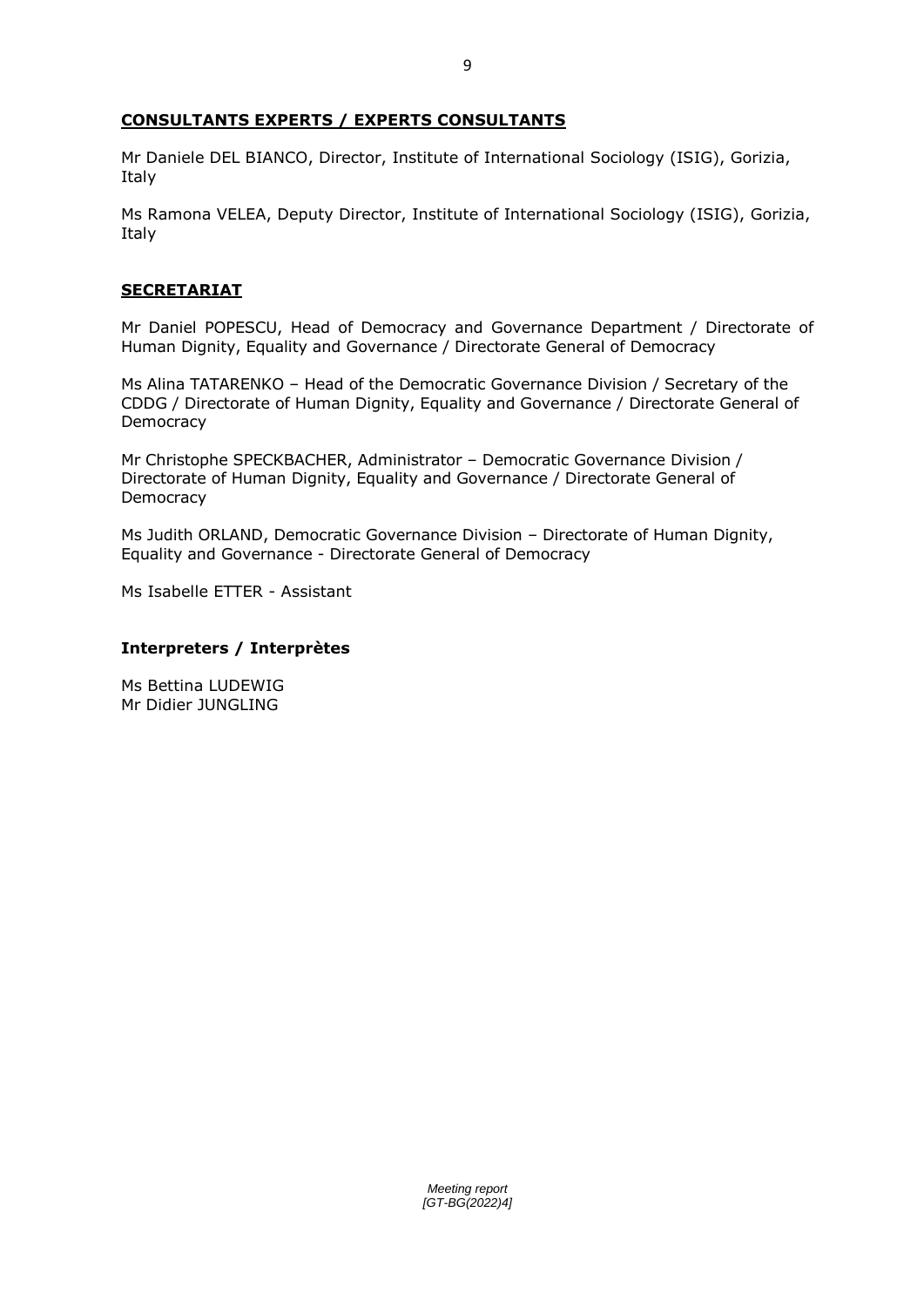## **CONSULTANTS EXPERTS / EXPERTS CONSULTANTS**

Mr Daniele DEL BIANCO, Director, Institute of International Sociology (ISIG), Gorizia, Italy

Ms Ramona VELEA, Deputy Director, Institute of International Sociology (ISIG), Gorizia, Italy

## **SECRETARIAT**

Mr Daniel POPESCU, Head of Democracy and Governance Department / Directorate of Human Dignity, Equality and Governance / Directorate General of Democracy

Ms Alina TATARENKO – Head of the Democratic Governance Division / Secretary of the CDDG / Directorate of Human Dignity, Equality and Governance / Directorate General of **Democracy** 

Mr Christophe SPECKBACHER, Administrator – Democratic Governance Division / Directorate of Human Dignity, Equality and Governance / Directorate General of Democracy

Ms Judith ORLAND, Democratic Governance Division – Directorate of Human Dignity, Equality and Governance - Directorate General of Democracy

Ms Isabelle ETTER - Assistant

## **Interpreters / Interprètes**

Ms Bettina LUDEWIG Mr Didier JUNGLING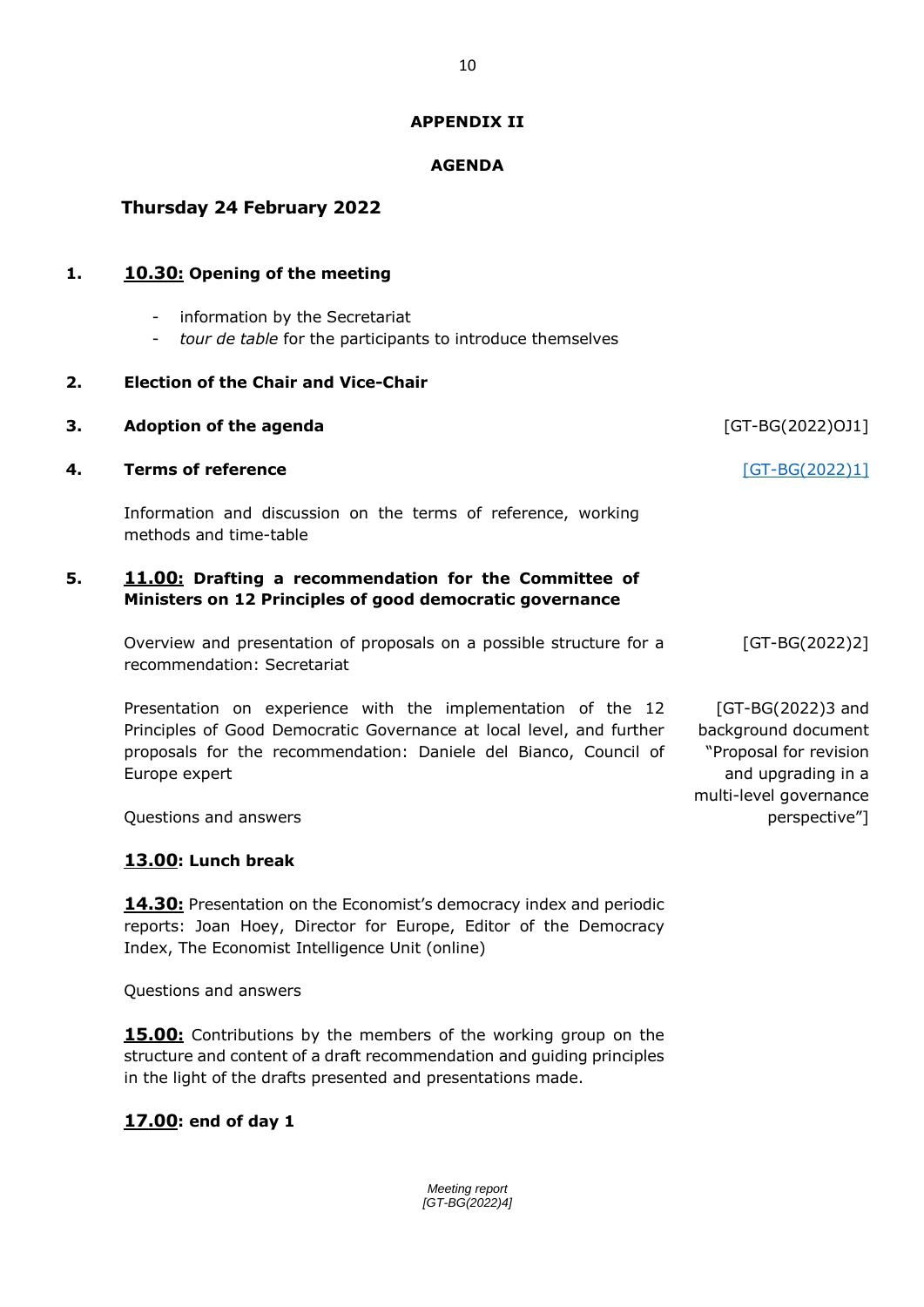## **APPENDIX II**

## **AGENDA**

# **Thursday 24 February 2022**

## **1. 10.30: Opening of the meeting**

- information by the Secretariat
- *tour de table* for the participants to introduce themselves

## **2. Election of the Chair and Vice-Chair**

| 3. | <b>Adoption of the agenda</b>                                                                                                                                                                                             | [GT-BG(2022)OJ1]                                                                                                   |
|----|---------------------------------------------------------------------------------------------------------------------------------------------------------------------------------------------------------------------------|--------------------------------------------------------------------------------------------------------------------|
| 4. | <b>Terms of reference</b>                                                                                                                                                                                                 | [GT-BG(2022)1]                                                                                                     |
|    | Information and discussion on the terms of reference, working<br>methods and time-table                                                                                                                                   |                                                                                                                    |
| 5. | 11.00: Drafting a recommendation for the Committee of<br>Ministers on 12 Principles of good democratic governance                                                                                                         |                                                                                                                    |
|    | Overview and presentation of proposals on a possible structure for a<br>recommendation: Secretariat                                                                                                                       | $[GT-BG(2022)2]$                                                                                                   |
|    | Presentation on experience with the implementation of the 12<br>Principles of Good Democratic Governance at local level, and further<br>proposals for the recommendation: Daniele del Bianco, Council of<br>Europe expert | [GT-BG(2022)3 and<br>background document<br>"Proposal for revision<br>and upgrading in a<br>multi-level governance |
|    | Questions and answers                                                                                                                                                                                                     | perspective"]                                                                                                      |

## **13.00: Lunch break**

**14.30:** Presentation on the Economist's democracy index and periodic reports: Joan Hoey, Director for Europe, Editor of the Democracy Index, The Economist Intelligence Unit (online)

Questions and answers

**15.00:** Contributions by the members of the working group on the structure and content of a draft recommendation and guiding principles in the light of the drafts presented and presentations made.

## **17.00: end of day 1**

10